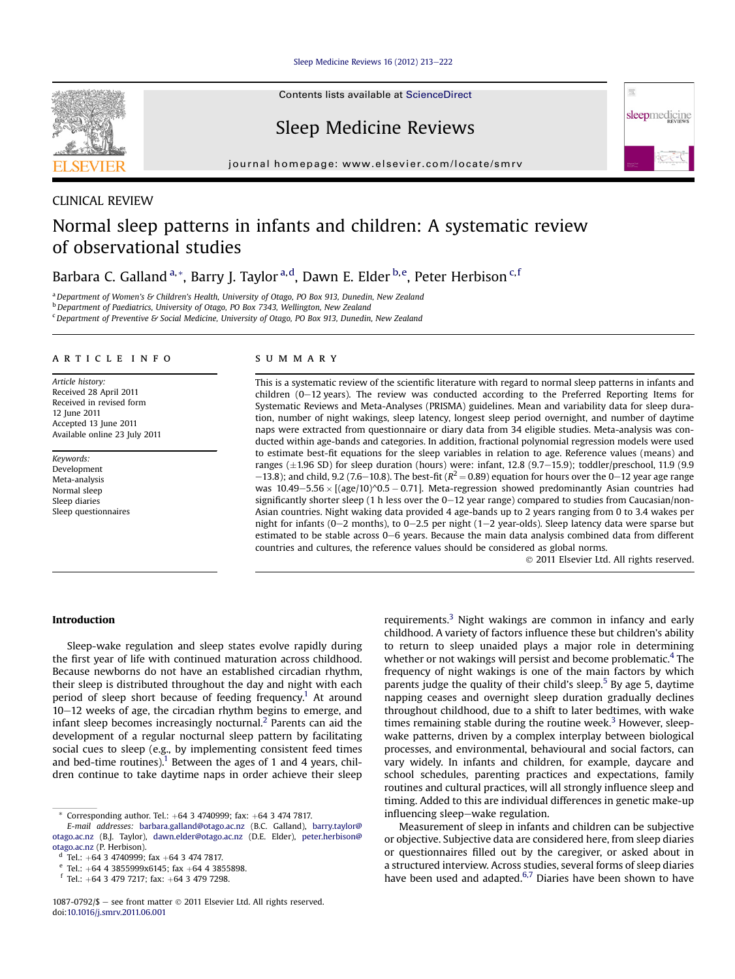[Sleep Medicine Reviews 16 \(2012\) 213](http://dx.doi.org/10.1016/j.smrv.2011.06.001)-[222](http://dx.doi.org/10.1016/j.smrv.2011.06.001)

Contents lists available at [ScienceDirect](www.sciencedirect.com/science/journal/10870792)

Sleep Medicine Reviews

journal homepage: [www.elsevier.com/locate/smrv](http://www.elsevier.com/locate/smrv)



## CLINICAL REVIEW

# Normal sleep patterns in infants and children: A systematic review of observational studies

Barbara C. Galland <sup>a,</sup>\*, Barry J. Taylor <sup>a,d</sup>, Dawn E. Elder <sup>b,e</sup>, Peter Herbison <sup>c,f</sup>

<sup>a</sup> Department of Women's & Children's Health, University of Otago, PO Box 913, Dunedin, New Zealand

<sup>b</sup> Department of Paediatrics, University of Otago, PO Box 7343, Wellington, New Zealand

<sup>c</sup> Department of Preventive & Social Medicine, University of Otago, PO Box 913, Dunedin, New Zealand

## article info

Article history: Received 28 April 2011 Received in revised form 12 June 2011 Accepted 13 June 2011 Available online 23 July 2011

Keywords: Development Meta-analysis Normal sleep Sleep diaries Sleep questionnaires

## summary

This is a systematic review of the scientific literature with regard to normal sleep patterns in infants and children ( $0-12$  years). The review was conducted according to the Preferred Reporting Items for Systematic Reviews and Meta-Analyses (PRISMA) guidelines. Mean and variability data for sleep duration, number of night wakings, sleep latency, longest sleep period overnight, and number of daytime naps were extracted from questionnaire or diary data from 34 eligible studies. Meta-analysis was conducted within age-bands and categories. In addition, fractional polynomial regression models were used to estimate best-fit equations for the sleep variables in relation to age. Reference values (means) and ranges  $(\pm 1.96$  SD) for sleep duration (hours) were: infant, 12.8 (9.7–15.9); toddler/preschool, 11.9 (9.9  $-13.8$ ); and child, 9.2 (7.6–10.8). The best-fit ( $R^2 = 0.89$ ) equation for hours over the 0–12 year age range was  $10.49 - 5.56 \times [(age/10)^0.5 - 0.71]$ . Meta-regression showed predominantly Asian countries had significantly shorter sleep (1 h less over the  $0-12$  year range) compared to studies from Caucasian/non-Asian countries. Night waking data provided 4 age-bands up to 2 years ranging from 0 to 3.4 wakes per night for infants (0–2 months), to 0–2.5 per night (1–2 year-olds). Sleep latency data were sparse but estimated to be stable across 0–6 years. Because the main data analysis combined data from different countries and cultures, the reference values should be considered as global norms.

2011 Elsevier Ltd. All rights reserved.

骤

sleepmedicine

## Introduction

Sleep-wake regulation and sleep states evolve rapidly during the first year of life with continued maturation across childhood. Because newborns do not have an established circadian rhythm, their sleep is distributed throughout the day and night with each period of sleep short because of feeding frequency.<sup>[1](#page-8-0)</sup> At around  $10-12$  weeks of age, the circadian rhythm begins to emerge, and infant sleep becomes increasingly nocturnal.<sup>[2](#page-8-0)</sup> Parents can aid the development of a regular nocturnal sleep pattern by facilitating social cues to sleep (e.g., by implementing consistent feed times and bed-time routines).<sup>1</sup> Between the ages of 1 and 4 years, children continue to take daytime naps in order achieve their sleep requirements.<sup>3</sup> Night wakings are common in infancy and early childhood. A variety of factors influence these but children's ability to return to sleep unaided plays a major role in determining whether or not wakings will persist and become problematic.<sup>[4](#page-8-0)</sup> The frequency of night wakings is one of the main factors by which parents judge the quality of their child's sleep.<sup>[5](#page-8-0)</sup> By age 5, daytime napping ceases and overnight sleep duration gradually declines throughout childhood, due to a shift to later bedtimes, with wake times remaining stable during the routine week.<sup>[3](#page-8-0)</sup> However, sleepwake patterns, driven by a complex interplay between biological processes, and environmental, behavioural and social factors, can vary widely. In infants and children, for example, daycare and school schedules, parenting practices and expectations, family routines and cultural practices, will all strongly influence sleep and timing. Added to this are individual differences in genetic make-up influencing sleep-wake regulation.

Measurement of sleep in infants and children can be subjective or objective. Subjective data are considered here, from sleep diaries or questionnaires filled out by the caregiver, or asked about in a structured interview. Across studies, several forms of sleep diaries have been used and adapted. $6,7$  Diaries have been shown to have

Corresponding author. Tel.:  $+64$  3 4740999; fax:  $+64$  3 474 7817.

E-mail addresses: [barbara.galland@otago.ac.nz](mailto:barbara.galland@otago.ac.nz) (B.C. Galland), [barry.taylor@](mailto:barry.taylor@otago.ac.nz) [otago.ac.nz](mailto:barry.taylor@otago.ac.nz) (B.J. Taylor), [dawn.elder@otago.ac.nz](mailto:dawn.elder@otago.ac.nz) (D.E. Elder), [peter.herbison@](mailto:peter.herbison@otago.ac.nz) [otago.ac.nz](mailto:peter.herbison@otago.ac.nz) (P. Herbison).

d Tel.: +64 3 4740999; fax +64 3 474 7817.<br>
e Tel.: +64 4 3855999x6145; fax +64 4 3855898.<br>
f Tel.: +64 3 479 7217; fax: +64 3 479 7298.

 $1087-0792/\$$  - see front matter  $\odot$  2011 Elsevier Ltd. All rights reserved. doi[:10.1016/j.smrv.2011.06.001](http://dx.doi.org/10.1016/j.smrv.2011.06.001)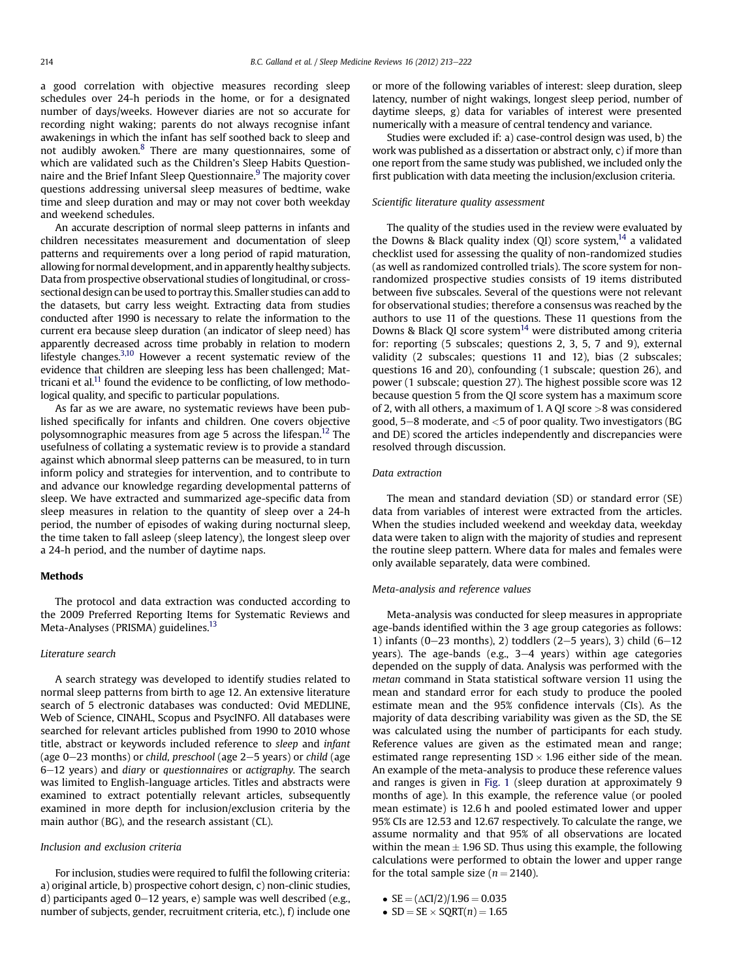a good correlation with objective measures recording sleep schedules over 24-h periods in the home, or for a designated number of days/weeks. However diaries are not so accurate for recording night waking; parents do not always recognise infant awakenings in which the infant has self soothed back to sleep and not audibly awoken.[8](#page-8-0) There are many questionnaires, some of which are validated such as the Children's Sleep Habits Question-naire and the Brief Infant Sleep Questionnaire.<sup>[9](#page-8-0)</sup> The majority cover questions addressing universal sleep measures of bedtime, wake time and sleep duration and may or may not cover both weekday and weekend schedules.

An accurate description of normal sleep patterns in infants and children necessitates measurement and documentation of sleep patterns and requirements over a long period of rapid maturation, allowing for normal development, and in apparently healthy subjects. Data from prospective observational studies of longitudinal, or crosssectional design can be used to portray this. Smaller studies can add to the datasets, but carry less weight. Extracting data from studies conducted after 1990 is necessary to relate the information to the current era because sleep duration (an indicator of sleep need) has apparently decreased across time probably in relation to modern lifestyle changes.<sup>[3,10](#page-8-0)</sup> However a recent systematic review of the evidence that children are sleeping less has been challenged; Mattricani et al. $11$  found the evidence to be conflicting, of low methodological quality, and specific to particular populations.

As far as we are aware, no systematic reviews have been published specifically for infants and children. One covers objective polysomnographic measures from age 5 across the lifespan.<sup>[12](#page-8-0)</sup> The usefulness of collating a systematic review is to provide a standard against which abnormal sleep patterns can be measured, to in turn inform policy and strategies for intervention, and to contribute to and advance our knowledge regarding developmental patterns of sleep. We have extracted and summarized age-specific data from sleep measures in relation to the quantity of sleep over a 24-h period, the number of episodes of waking during nocturnal sleep, the time taken to fall asleep (sleep latency), the longest sleep over a 24-h period, and the number of daytime naps.

## **Methods**

The protocol and data extraction was conducted according to the 2009 Preferred Reporting Items for Systematic Reviews and Meta-Analyses (PRISMA) guidelines.<sup>[13](#page-8-0)</sup>

#### Literature search

A search strategy was developed to identify studies related to normal sleep patterns from birth to age 12. An extensive literature search of 5 electronic databases was conducted: Ovid MEDLINE, Web of Science, CINAHL, Scopus and PsycINFO. All databases were searched for relevant articles published from 1990 to 2010 whose title, abstract or keywords included reference to sleep and infant (age  $0-23$  months) or child, preschool (age  $2-5$  years) or child (age  $6-12$  years) and diary or questionnaires or actigraphy. The search was limited to English-language articles. Titles and abstracts were examined to extract potentially relevant articles, subsequently examined in more depth for inclusion/exclusion criteria by the main author (BG), and the research assistant (CL).

#### Inclusion and exclusion criteria

For inclusion, studies were required to fulfil the following criteria: a) original article, b) prospective cohort design, c) non-clinic studies, d) participants aged  $0-12$  years, e) sample was well described (e.g., number of subjects, gender, recruitment criteria, etc.), f) include one or more of the following variables of interest: sleep duration, sleep latency, number of night wakings, longest sleep period, number of daytime sleeps, g) data for variables of interest were presented numerically with a measure of central tendency and variance.

Studies were excluded if: a) case-control design was used, b) the work was published as a dissertation or abstract only, c) if more than one report from the same study was published, we included only the first publication with data meeting the inclusion/exclusion criteria.

## Scientific literature quality assessment

The quality of the studies used in the review were evaluated by the Downs & Black quality index  $(QI)$  score system,<sup>14</sup> a validated checklist used for assessing the quality of non-randomized studies (as well as randomized controlled trials). The score system for nonrandomized prospective studies consists of 19 items distributed between five subscales. Several of the questions were not relevant for observational studies; therefore a consensus was reached by the authors to use 11 of the questions. These 11 questions from the Downs & Black QI score system<sup>[14](#page-8-0)</sup> were distributed among criteria for: reporting (5 subscales; questions 2, 3, 5, 7 and 9), external validity (2 subscales; questions 11 and 12), bias (2 subscales; questions 16 and 20), confounding (1 subscale; question 26), and power (1 subscale; question 27). The highest possible score was 12 because question 5 from the QI score system has a maximum score of 2, with all others, a maximum of 1. A QI score >8 was considered good,  $5-8$  moderate, and  $<$  5 of poor quality. Two investigators (BG and DE) scored the articles independently and discrepancies were resolved through discussion.

#### Data extraction

The mean and standard deviation (SD) or standard error (SE) data from variables of interest were extracted from the articles. When the studies included weekend and weekday data, weekday data were taken to align with the majority of studies and represent the routine sleep pattern. Where data for males and females were only available separately, data were combined.

#### Meta-analysis and reference values

Meta-analysis was conducted for sleep measures in appropriate age-bands identified within the 3 age group categories as follows: 1) infants (0-23 months), 2) toddlers (2-5 years), 3) child  $(6-12)$ years). The age-bands (e.g.,  $3-4$  years) within age categories depended on the supply of data. Analysis was performed with the metan command in Stata statistical software version 11 using the mean and standard error for each study to produce the pooled estimate mean and the 95% confidence intervals (CIs). As the majority of data describing variability was given as the SD, the SE was calculated using the number of participants for each study. Reference values are given as the estimated mean and range; estimated range representing  $1SD \times 1.96$  either side of the mean. An example of the meta-analysis to produce these reference values and ranges is given in [Fig. 1](#page-2-0) (sleep duration at approximately 9 months of age). In this example, the reference value (or pooled mean estimate) is 12.6 h and pooled estimated lower and upper 95% CIs are 12.53 and 12.67 respectively. To calculate the range, we assume normality and that 95% of all observations are located within the mean  $\pm$  1.96 SD. Thus using this example, the following calculations were performed to obtain the lower and upper range for the total sample size ( $n = 2140$ ).

- $SE = (\Delta CI/2)/1.96 = 0.035$
- $SD = SE \times SQRT(n) = 1.65$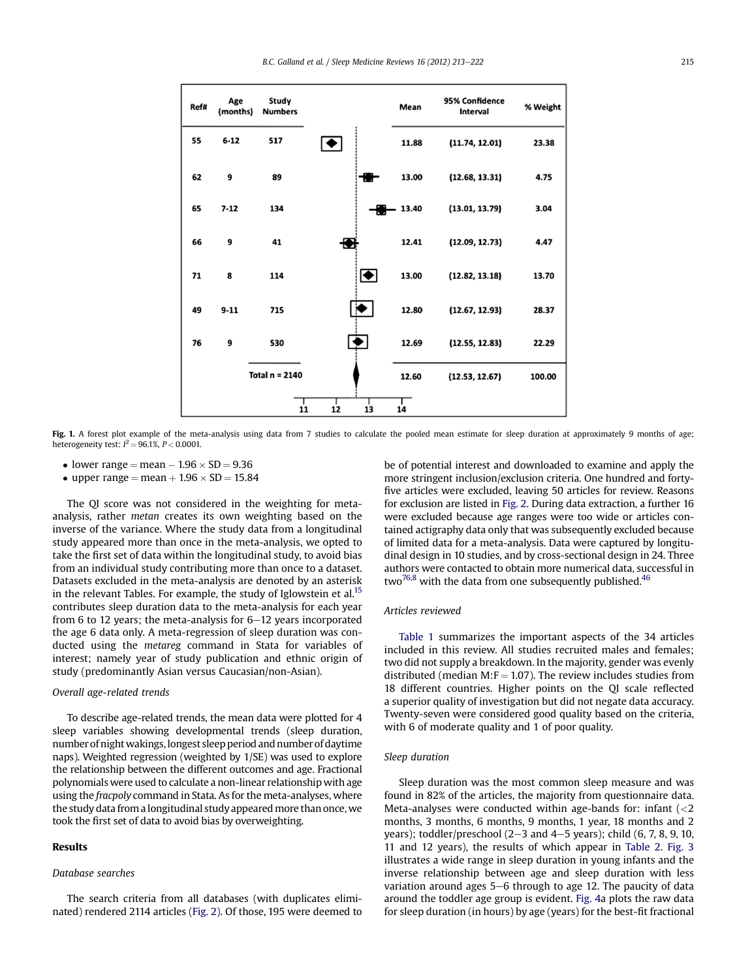<span id="page-2-0"></span>

| Ref# | Age<br>(months) | Study<br><b>Numbers</b> |    |           | Mean     | 95% Confidence<br>Interval | % Weight |
|------|-----------------|-------------------------|----|-----------|----------|----------------------------|----------|
| 55   | $6 - 12$        | 517                     | o  |           | 11.88    | (11.74, 12.01)             | 23.38    |
| 62   | 9               | 89                      |    |           | 13.00    | (12.68, 13.31)             | 4.75     |
| 65   | $7 - 12$        | 134                     |    | ₩         | $-13.40$ | (13.01, 13.79)             | 3.04     |
| 66   | 9               | 41                      | Ð  |           | 12.41    | (12.09, 12.73)             | 4.47     |
| 71   | 8               | 114                     |    | $\bullet$ | 13.00    | (12.82, 13.18)             | 13.70    |
| 49   | $9 - 11$        | 715                     |    |           | 12.80    | (12.67, 12.93)             | 28.37    |
| 76   | 9               | 530                     |    |           | 12.69    | (12.55, 12.83)             | 22.29    |
|      |                 | Total $n = 2140$        |    |           | 12.60    | (12.53, 12.67)             | 100.00   |
|      |                 | 11                      | 12 | 13        | 14       |                            |          |

Fig. 1. A forest plot example of the meta-analysis using data from 7 studies to calculate the pooled mean estimate for sleep duration at approximately 9 months of age; heterogeneity test:  $l^2 = 96.1\%$ ,  $P < 0.0001$ .

- lower range  $=$  mean  $-1.96 \times SD = 9.36$
- upper range = mean  $+1.96 \times SD = 15.84$

The QI score was not considered in the weighting for metaanalysis, rather metan creates its own weighting based on the inverse of the variance. Where the study data from a longitudinal study appeared more than once in the meta-analysis, we opted to take the first set of data within the longitudinal study, to avoid bias from an individual study contributing more than once to a dataset. Datasets excluded in the meta-analysis are denoted by an asterisk in the relevant Tables. For example, the study of Iglowstein et al.<sup>15</sup> contributes sleep duration data to the meta-analysis for each year from 6 to 12 years; the meta-analysis for  $6-12$  years incorporated the age 6 data only. A meta-regression of sleep duration was conducted using the metareg command in Stata for variables of interest; namely year of study publication and ethnic origin of study (predominantly Asian versus Caucasian/non-Asian).

## Overall age-related trends

To describe age-related trends, the mean data were plotted for 4 sleep variables showing developmental trends (sleep duration, number of night wakings, longest sleep period and number of daytime naps). Weighted regression (weighted by 1/SE) was used to explore the relationship between the different outcomes and age. Fractional polynomials were used to calculate a non-linear relationship with age using the *fracpoly* command in Stata. As for the meta-analyses, where the study data from a longitudinal study appeared more than once, we took the first set of data to avoid bias by overweighting.

## Results

## Database searches

The search criteria from all databases (with duplicates eliminated) rendered 2114 articles [\(Fig. 2\)](#page-3-0). Of those, 195 were deemed to be of potential interest and downloaded to examine and apply the more stringent inclusion/exclusion criteria. One hundred and fortyfive articles were excluded, leaving 50 articles for review. Reasons for exclusion are listed in [Fig. 2.](#page-3-0) During data extraction, a further 16 were excluded because age ranges were too wide or articles contained actigraphy data only that was subsequently excluded because of limited data for a meta-analysis. Data were captured by longitudinal design in 10 studies, and by cross-sectional design in 24. Three authors were contacted to obtain more numerical data, successful in two<sup>76,8</sup> with the data from one subsequently published.<sup>46</sup>

## Articles reviewed

[Table 1](#page-4-0) summarizes the important aspects of the 34 articles included in this review. All studies recruited males and females; two did not supply a breakdown. In the majority, gender was evenly distributed (median M: $F = 1.07$ ). The review includes studies from 18 different countries. Higher points on the QI scale reflected a superior quality of investigation but did not negate data accuracy. Twenty-seven were considered good quality based on the criteria, with 6 of moderate quality and 1 of poor quality.

## Sleep duration

Sleep duration was the most common sleep measure and was found in 82% of the articles, the majority from questionnaire data. Meta-analyses were conducted within age-bands for: infant  $\langle$  <2 months, 3 months, 6 months, 9 months, 1 year, 18 months and 2 years); toddler/preschool  $(2-3$  and  $4-5$  years); child  $(6, 7, 8, 9, 10, 10)$ 11 and 12 years), the results of which appear in [Table 2](#page-5-0). [Fig. 3](#page-5-0) illustrates a wide range in sleep duration in young infants and the inverse relationship between age and sleep duration with less variation around ages 5-6 through to age 12. The paucity of data around the toddler age group is evident. [Fig. 4a](#page-6-0) plots the raw data for sleep duration (in hours) by age (years) for the best-fit fractional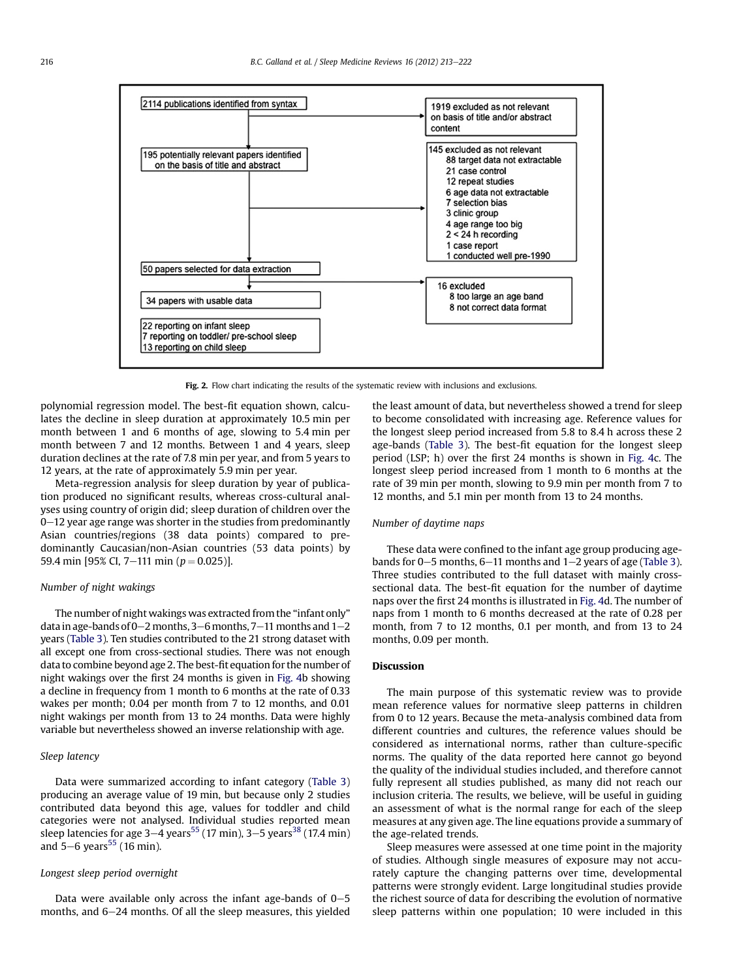<span id="page-3-0"></span>

Fig. 2. Flow chart indicating the results of the systematic review with inclusions and exclusions.

polynomial regression model. The best-fit equation shown, calculates the decline in sleep duration at approximately 10.5 min per month between 1 and 6 months of age, slowing to 5.4 min per month between 7 and 12 months. Between 1 and 4 years, sleep duration declines at the rate of 7.8 min per year, and from 5 years to 12 years, at the rate of approximately 5.9 min per year.

Meta-regression analysis for sleep duration by year of publication produced no significant results, whereas cross-cultural analyses using country of origin did; sleep duration of children over the  $0-12$  year age range was shorter in the studies from predominantly Asian countries/regions (38 data points) compared to predominantly Caucasian/non-Asian countries (53 data points) by 59.4 min [95% CI, 7–111 min ( $p = 0.025$ )].

## Number of night wakings

The number of night wakings was extracted from the "infant only" data in age-bands of  $0-2$  months,  $3-6$  months,  $7-11$  months and  $1-2$ years [\(Table 3](#page-6-0)). Ten studies contributed to the 21 strong dataset with all except one from cross-sectional studies. There was not enough data to combine beyond age 2. The best-fit equation for the number of night wakings over the first 24 months is given in [Fig. 4b](#page-6-0) showing a decline in frequency from 1 month to 6 months at the rate of 0.33 wakes per month; 0.04 per month from 7 to 12 months, and 0.01 night wakings per month from 13 to 24 months. Data were highly variable but nevertheless showed an inverse relationship with age.

## Sleep latency

Data were summarized according to infant category ([Table 3\)](#page-6-0) producing an average value of 19 min, but because only 2 studies contributed data beyond this age, values for toddler and child categories were not analysed. Individual studies reported mean sleep latencies for age  $3-4$  years<sup>[55](#page-9-0)</sup> (17 min),  $3-5$  years<sup>[38](#page-9-0)</sup> (17.4 min) and  $5-6$  years<sup>[55](#page-9-0)</sup> (16 min).

## Longest sleep period overnight

Data were available only across the infant age-bands of  $0-5$ months, and  $6-24$  months. Of all the sleep measures, this yielded the least amount of data, but nevertheless showed a trend for sleep to become consolidated with increasing age. Reference values for the longest sleep period increased from 5.8 to 8.4 h across these 2 age-bands ([Table 3](#page-6-0)). The best-fit equation for the longest sleep period (LSP; h) over the first 24 months is shown in [Fig. 4](#page-6-0)c. The longest sleep period increased from 1 month to 6 months at the rate of 39 min per month, slowing to 9.9 min per month from 7 to 12 months, and 5.1 min per month from 13 to 24 months.

## Number of daytime naps

These data were confined to the infant age group producing agebands for  $0-5$  months,  $6-11$  months and  $1-2$  years of age ([Table 3\)](#page-6-0). Three studies contributed to the full dataset with mainly crosssectional data. The best-fit equation for the number of daytime naps over the first 24 months is illustrated in [Fig. 4d](#page-6-0). The number of naps from 1 month to 6 months decreased at the rate of 0.28 per month, from 7 to 12 months, 0.1 per month, and from 13 to 24 months, 0.09 per month.

## Discussion

The main purpose of this systematic review was to provide mean reference values for normative sleep patterns in children from 0 to 12 years. Because the meta-analysis combined data from different countries and cultures, the reference values should be considered as international norms, rather than culture-specific norms. The quality of the data reported here cannot go beyond the quality of the individual studies included, and therefore cannot fully represent all studies published, as many did not reach our inclusion criteria. The results, we believe, will be useful in guiding an assessment of what is the normal range for each of the sleep measures at any given age. The line equations provide a summary of the age-related trends.

Sleep measures were assessed at one time point in the majority of studies. Although single measures of exposure may not accurately capture the changing patterns over time, developmental patterns were strongly evident. Large longitudinal studies provide the richest source of data for describing the evolution of normative sleep patterns within one population; 10 were included in this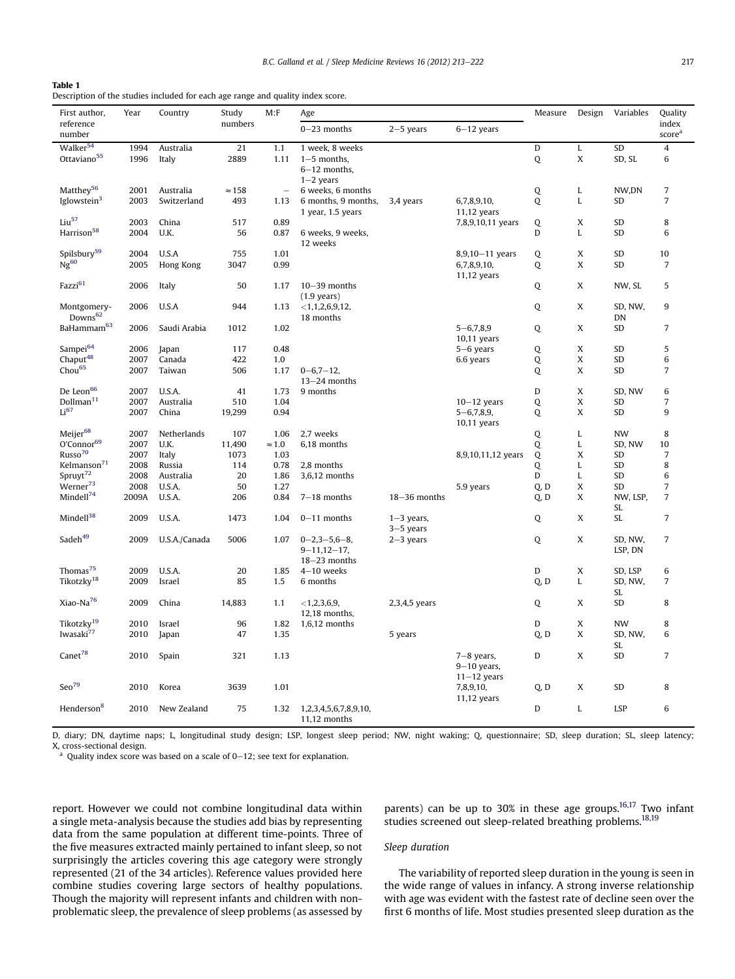<span id="page-4-0"></span>

| Table 1                                                                         |
|---------------------------------------------------------------------------------|
| Description of the studies included for each age range and quality index score. |

| First author,           | Year  | Country       | Study         | M: F                     | Age                    |                  |                    | Measure | Design      | Variables  | Quality                     |
|-------------------------|-------|---------------|---------------|--------------------------|------------------------|------------------|--------------------|---------|-------------|------------|-----------------------------|
| reference<br>number     |       |               | numbers       |                          | $0 - 23$ months        | $2-5$ years      | $6-12$ years       |         |             |            | index<br>score <sup>a</sup> |
| Walker <sup>54</sup>    | 1994  | Australia     | 21            | 1.1                      | 1 week, 8 weeks        |                  |                    | D       | L           | SD         | $\overline{4}$              |
| Ottaviano <sup>55</sup> | 1996  | Italy         | 2889          | 1.11                     | $1-5$ months,          |                  |                    | Q       | X           | SD, SL     | 6                           |
|                         |       |               |               |                          | $6-12$ months,         |                  |                    |         |             |            |                             |
|                         |       |               |               |                          | $1-2$ years            |                  |                    |         |             |            |                             |
| Matthey <sup>56</sup>   | 2001  | Australia     | $\approx$ 158 | $\overline{\phantom{m}}$ | 6 weeks, 6 months      |                  |                    | Q       | L           | NW,DN      | $\overline{7}$              |
| Iglowstein <sup>3</sup> | 2003  | Switzerland   | 493           | 1.13                     | 6 months, 9 months,    | 3,4 years        | 6,7,8,9,10,        | Q       | L           | SD         | $\overline{7}$              |
|                         |       |               |               |                          | 1 year, 1.5 years      |                  | $11,12$ years      |         |             |            |                             |
| Liu <sup>57</sup>       | 2003  | China         | 517           | 0.89                     |                        |                  | 7,8,9,10,11 years  | Q       | X           | SD         | 8                           |
| Harrison <sup>58</sup>  | 2004  | U.K.          | 56            | 0.87                     | 6 weeks, 9 weeks,      |                  |                    | D       | L           | SD         | 6                           |
|                         |       |               |               |                          | 12 weeks               |                  |                    |         |             |            |                             |
| Spilsbury <sup>59</sup> | 2004  | U.S.A         | 755           | 1.01                     |                        |                  | $8,9,10-11$ years  | Q       | X           | SD         | 10                          |
| $Ng^{60}$               | 2005  | Hong Kong     | 3047          | 0.99                     |                        |                  | 6,7,8,9,10,        | Q       | X           | SD         | $\overline{7}$              |
|                         |       |               |               |                          |                        |                  | 11,12 years        |         |             |            |                             |
| Fazzi <sup>61</sup>     | 2006  | Italy         | 50            | 1.17                     | $10 - 39$ months       |                  |                    | Q       | X           | NW, SL     | 5                           |
|                         |       |               |               |                          | $(1.9 \text{ years})$  |                  |                    |         |             |            |                             |
| Montgomery-             | 2006  | U.S.A         | 944           | 1.13                     | $<$ 1,1,2,6,9,12,      |                  |                    | Q       | X           | SD, NW,    | 9                           |
| Downs <sup>62</sup>     |       |               |               |                          | 18 months              |                  |                    |         |             | DN         |                             |
| BaHammam <sup>63</sup>  | 2006  | Saudi Arabia  | 1012          | 1.02                     |                        |                  | $5 - 6,7,8,9$      | Q       | X           | SD         | $\overline{7}$              |
|                         |       |               |               |                          |                        |                  | $10,11$ years      |         |             |            |                             |
| Sampei <sup>64</sup>    | 2006  | Japan         | 117           | 0.48                     |                        |                  | $5-6$ years        | Q       | X           | SD         | 5                           |
| Chaput <sup>48</sup>    | 2007  | Canada        | 422           | 1.0                      |                        |                  | 6.6 years          | Q       | X           | SD         | 6                           |
| Chou <sup>65</sup>      | 2007  | Taiwan        | 506           | 1.17                     | $0 - 6, 7 - 12,$       |                  |                    | Q       | X           | SD         | $\overline{7}$              |
|                         |       |               |               |                          | $13-24$ months         |                  |                    |         |             |            |                             |
| De Leon <sup>66</sup>   | 2007  | U.S.A.        | 41            | 1.73                     | 9 months               |                  |                    | D       | X           | SD. NW     | 6                           |
| Dollman <sup>11</sup>   | 2007  | Australia     | 510           | 1.04                     |                        |                  | $10 - 12$ years    | Q       | X           | SD         | $\overline{7}$              |
| Li <sup>67</sup>        | 2007  | China         | 19,299        | 0.94                     |                        |                  | $5 - 6, 7, 8, 9,$  | Q       | X           | <b>SD</b>  | 9                           |
|                         |       |               |               |                          |                        |                  | 10,11 years        |         |             |            |                             |
| Meijer <sup>68</sup>    | 2007  | Netherlands   | 107           | 1.06                     | 2,7 weeks              |                  |                    | Q       | L           | <b>NW</b>  | 8                           |
| O'Connor <sup>69</sup>  | 2007  | U.K.          | 11,490        | $\approx 1.0$            | 6,18 months            |                  |                    | Q       | L           | SD, NW     | 10                          |
| Russo <sup>70</sup>     | 2007  | Italy         | 1073          | 1.03                     |                        |                  | 8,9,10,11,12 years | Q       | X           | SD         | 7                           |
| Kelmanson <sup>71</sup> | 2008  | Russia        | 114           | 0.78                     | 2,8 months             |                  |                    | Q       | L           | SD         | 8                           |
| Spruyt <sup>72</sup>    | 2008  | Australia     | 20            | 1.86                     | 3,6,12 months          |                  |                    | D       | L           | SD         | 6                           |
| Werner <sup>73</sup>    | 2008  | U.S.A.        | 50            | 1.27                     |                        |                  | 5.9 years          | Q, D    | X           | SD         | $\overline{7}$              |
| Mindell <sup>74</sup>   | 2009A | U.S.A.        | 206           | 0.84                     | $7-18$ months          | $18 - 36$ months |                    | O, D    | X           | NW, LSP.   | $\overline{7}$              |
|                         |       |               |               |                          |                        |                  |                    |         |             | <b>SL</b>  |                             |
| Mindell <sup>38</sup>   | 2009  | U.S.A.        | 1473          | 1.04                     | $0-11$ months          | $1-3$ years,     |                    | Q       | X           | <b>SL</b>  | $\overline{7}$              |
|                         |       |               |               |                          |                        | $3-5$ years      |                    |         |             |            |                             |
| Sadeh <sup>49</sup>     | 2009  | U.S.A./Canada | 5006          | 1.07                     | $0 - 2, 3 - 5, 6 - 8,$ | $2-3$ years      |                    | Q       | X           | SD, NW,    | $\overline{7}$              |
|                         |       |               |               |                          | $9 - 11,12 - 17,$      |                  |                    |         |             | LSP, DN    |                             |
|                         |       |               |               |                          | $18-23$ months         |                  |                    |         |             |            |                             |
| Thomas <sup>75</sup>    | 2009  | U.S.A.        | 20            | 1.85                     | $4-10$ weeks           |                  |                    | D       | X           | SD, LSP    | 6                           |
| Tikotzky <sup>18</sup>  | 2009  | Israel        | 85            | 1.5                      | 6 months               |                  |                    | O, D    | L           | SD, NW,    | 7                           |
| Xiao-Na <sup>76</sup>   | 2009  | China         | 14,883        | 1,1                      |                        | 2,3,4,5 years    |                    |         | X           | SL<br>SD   | 8                           |
|                         |       |               |               |                          | $<$ 1,2,3,6,9,         |                  |                    | Q       |             |            |                             |
| Tikotzky <sup>19</sup>  | 2010  |               | 96            | 1.82                     | 12,18 months,          |                  |                    | D       | X           | <b>NW</b>  | 8                           |
| Iwasaki <sup>77</sup>   | 2010  | Israel        | 47            |                          | $1,6,12$ months        |                  |                    |         | X           | SD, NW,    | 6                           |
|                         |       | Japan         |               | 1.35                     |                        | 5 years          |                    | Q, D    |             | SL         |                             |
| Canet <sup>78</sup>     | 2010  |               | 321           | 1.13                     |                        |                  | $7-8$ years,       | D       | X           | SD         | $\overline{7}$              |
|                         |       | Spain         |               |                          |                        |                  | $9-10$ years,      |         |             |            |                             |
|                         |       |               |               |                          |                        |                  | $11-12$ years      |         |             |            |                             |
| $Seo^{79}$              | 2010  | Korea         | 3639          | 1.01                     |                        |                  | 7,8,9,10,          | Q, D    | X           | SD         | 8                           |
|                         |       |               |               |                          |                        |                  | $11,12$ years      |         |             |            |                             |
| Henderson <sup>8</sup>  | 2010  | New Zealand   | 75            | 1.32                     | 1,2,3,4,5,6,7,8,9,10,  |                  |                    | D       | $\mathbf L$ | <b>LSP</b> | 6                           |
|                         |       |               |               |                          | 11,12 months           |                  |                    |         |             |            |                             |
|                         |       |               |               |                          |                        |                  |                    |         |             |            |                             |

D, diary; DN, daytime naps; L, longitudinal study design; LSP, longest sleep period; NW, night waking; Q, questionnaire; SD, sleep duration; SL, sleep latency; X, cross-sectional design.

<sup>a</sup> Quality index score was based on a scale of  $0-12$ ; see text for explanation.

report. However we could not combine longitudinal data within a single meta-analysis because the studies add bias by representing data from the same population at different time-points. Three of the five measures extracted mainly pertained to infant sleep, so not surprisingly the articles covering this age category were strongly represented (21 of the 34 articles). Reference values provided here combine studies covering large sectors of healthy populations. Though the majority will represent infants and children with nonproblematic sleep, the prevalence of sleep problems (as assessed by

parents) can be up to 30% in these age groups.<sup>16,17</sup> Two infant studies screened out sleep-related breathing problems[.18,19](#page-8-0)

#### Sleep duration

The variability of reported sleep duration in the young is seen in the wide range of values in infancy. A strong inverse relationship with age was evident with the fastest rate of decline seen over the first 6 months of life. Most studies presented sleep duration as the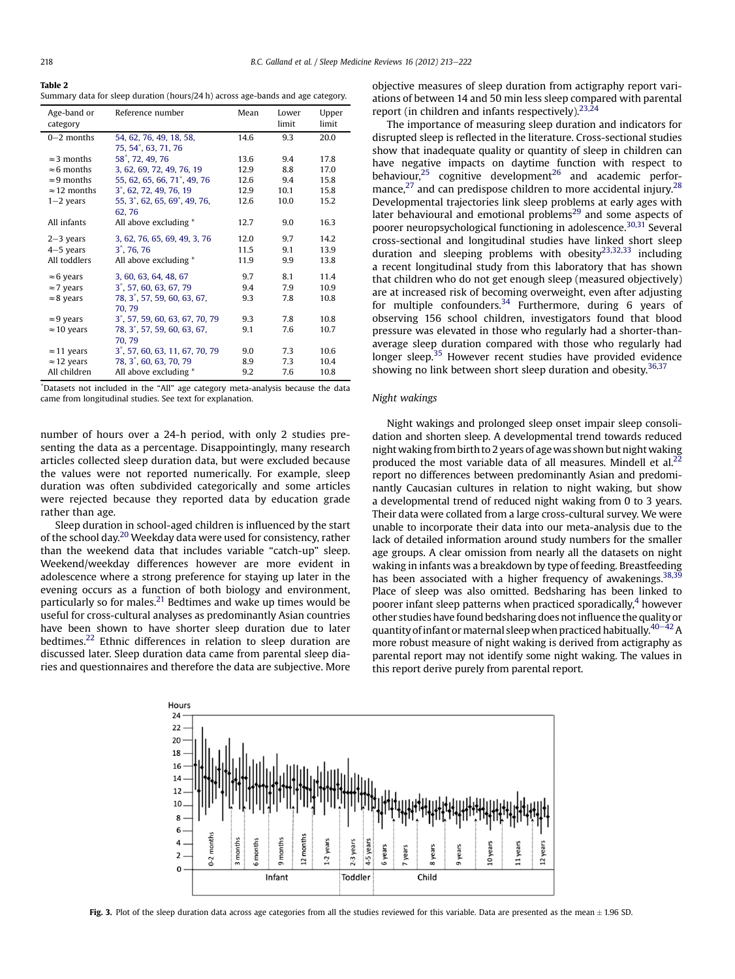<span id="page-5-0"></span>Table 2 Summary data for sleep duration (hours/24 h) across age-bands and age category.

| Age-band or<br>category | Reference number                               | Mean | Lower<br>limit | Upper<br>limit |
|-------------------------|------------------------------------------------|------|----------------|----------------|
| $0 - 2$ months          | 54, 62, 76, 49, 18, 58,<br>75, 54*, 63, 71, 76 | 14.6 | 9.3            | 20.0           |
| $\approx$ 3 months      | 58 <sup>*</sup> , 72, 49, 76                   | 13.6 | 9.4            | 17.8           |
| $\approx$ 6 months      | 3, 62, 69, 72, 49, 76, 19                      | 12.9 | 8.8            | 17.0           |
| $\approx$ 9 months      | 55, 62, 65, 66, 71 <sup>*</sup> , 49, 76       | 12.6 | 9.4            | 15.8           |
| $\approx$ 12 months     | 3 <sup>*</sup> , 62, 72, 49, 76, 19            | 12.9 | 10.1           | 15.8           |
| $1-2$ years             | 55, 3, 62, 65, 69, 49, 76,<br>62.76            | 12.6 | 10.0           | 15.2           |
| All infants             | All above excluding *                          | 12.7 | 9.0            | 16.3           |
| $2-3$ years             | 3, 62, 76, 65, 69, 49, 3, 76                   | 12.0 | 9.7            | 14.2           |
| $4-5$ years             | $3^*$ , 76, 76                                 | 11.5 | 9.1            | 13.9           |
| All toddlers            | All above excluding *                          | 11.9 | 9.9            | 13.8           |
| $\approx$ 6 years       | 3, 60, 63, 64, 48, 67                          | 9.7  | 8.1            | 11.4           |
| $\approx$ 7 years       | 3, 57, 60, 63, 67, 79                          | 9.4  | 7.9            | 10.9           |
| $\approx$ 8 years       | 78, 3, 57, 59, 60, 63, 67,<br>70.79            | 9.3  | 7.8            | 10.8           |
| $\approx$ 9 years       | 3 <sup>*</sup> , 57, 59, 60, 63, 67, 70, 79    | 9.3  | 7.8            | 10.8           |
| $\approx$ 10 years      | 78, 3, 57, 59, 60, 63, 67,<br>70.79            | 9.1  | 7.6            | 10.7           |
| $\approx$ 11 years      | 3, 57, 60, 63, 11, 67, 70, 79                  | 9.0  | 7.3            | 10.6           |
| $\approx$ 12 years      | 78, 3*, 60, 63, 70, 79                         | 8.9  | 7.3            | 10.4           |
| All children            | All above excluding *                          | 9.2  | 7.6            | 10.8           |

\* Datasets not included in the "All" age category meta-analysis because the data came from longitudinal studies. See text for explanation.

number of hours over a 24-h period, with only 2 studies presenting the data as a percentage. Disappointingly, many research articles collected sleep duration data, but were excluded because the values were not reported numerically. For example, sleep duration was often subdivided categorically and some articles were rejected because they reported data by education grade rather than age.

Sleep duration in school-aged children is influenced by the start of the school day[.20](#page-8-0) Weekday data were used for consistency, rather than the weekend data that includes variable "catch-up" sleep. Weekend/weekday differences however are more evident in adolescence where a strong preference for staying up later in the evening occurs as a function of both biology and environment, particularly so for males.<sup>[21](#page-8-0)</sup> Bedtimes and wake up times would be useful for cross-cultural analyses as predominantly Asian countries have been shown to have shorter sleep duration due to later bedtimes.<sup>[22](#page-8-0)</sup> Ethnic differences in relation to sleep duration are discussed later. Sleep duration data came from parental sleep diaries and questionnaires and therefore the data are subjective. More objective measures of sleep duration from actigraphy report variations of between 14 and 50 min less sleep compared with parental report (in children and infants respectively).<sup>[23,24](#page-8-0)</sup>

The importance of measuring sleep duration and indicators for disrupted sleep is reflected in the literature. Cross-sectional studies show that inadequate quality or quantity of sleep in children can have negative impacts on daytime function with respect to behaviour, $25$  cognitive development $26$  and academic performance, $^{27}$  $^{27}$  $^{27}$  and can predispose children to more accidental injury.<sup>[28](#page-8-0)</sup> Developmental trajectories link sleep problems at early ages with later behavioural and emotional problems<sup>[29](#page-8-0)</sup> and some aspects of poorer neuropsychological functioning in adolescence.<sup>[30,31](#page-8-0)</sup> Several cross-sectional and longitudinal studies have linked short sleep duration and sleeping problems with obesity<sup>[23,32,33](#page-8-0)</sup> including a recent longitudinal study from this laboratory that has shown that children who do not get enough sleep (measured objectively) are at increased risk of becoming overweight, even after adjusting for multiple confounders.<sup>[34](#page-9-0)</sup> Furthermore, during 6 years of observing 156 school children, investigators found that blood pressure was elevated in those who regularly had a shorter-thanaverage sleep duration compared with those who regularly had longer sleep.<sup>[35](#page-9-0)</sup> However recent studies have provided evidence showing no link between short sleep duration and obesity.  $36,37$ 

#### Night wakings

Night wakings and prolonged sleep onset impair sleep consolidation and shorten sleep. A developmental trend towards reduced night waking from birth to 2 years of age was shown but night waking produced the most variable data of all measures. Mindell et al.<sup>[22](#page-8-0)</sup> report no differences between predominantly Asian and predominantly Caucasian cultures in relation to night waking, but show a developmental trend of reduced night waking from 0 to 3 years. Their data were collated from a large cross-cultural survey. We were unable to incorporate their data into our meta-analysis due to the lack of detailed information around study numbers for the smaller age groups. A clear omission from nearly all the datasets on night waking in infants was a breakdown by type of feeding. Breastfeeding has been associated with a higher frequency of awakenings.  $38,39$ Place of sleep was also omitted. Bedsharing has been linked to poorer infant sleep patterns when practiced sporadically, $4$  however other studies have found bedsharing does not influence the quality or quantity of infant or maternal sleep when practiced habitually. $40-42$  $40-42$  A more robust measure of night waking is derived from actigraphy as parental report may not identify some night waking. The values in this report derive purely from parental report.



Fig. 3. Plot of the sleep duration data across age categories from all the studies reviewed for this variable. Data are presented as the mean  $\pm$  1.96 SD.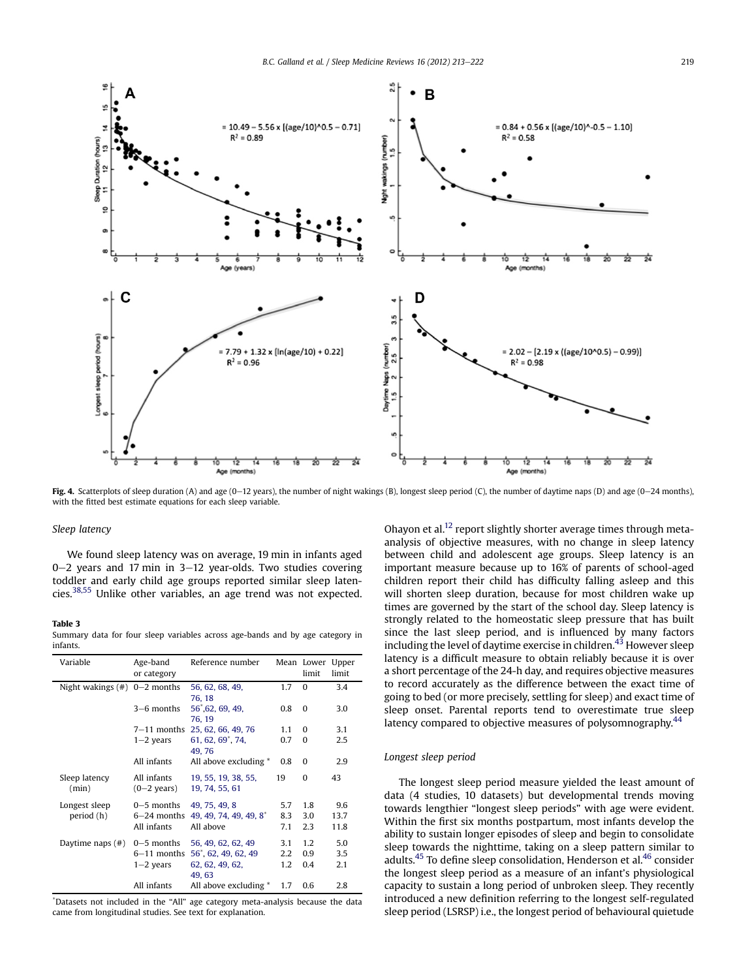<span id="page-6-0"></span>

Fig. 4. Scatterplots of sleep duration (A) and age (0-12 years), the number of night wakings (B), longest sleep period (C), the number of daytime naps (D) and age (0-24 months), with the fitted best estimate equations for each sleep variable.

#### Sleep latency

We found sleep latency was on average, 19 min in infants aged  $0-2$  years and 17 min in 3–12 year-olds. Two studies covering toddler and early child age groups reported similar sleep latencies.[38,55](#page-9-0) Unlike other variables, an age trend was not expected.

## Table 3

Summary data for four sleep variables across age-bands and by age category in infants.

| Variable                        | Age-band<br>or category              | Reference number                      |     | Mean Lower<br>limit | Upper<br>limit |
|---------------------------------|--------------------------------------|---------------------------------------|-----|---------------------|----------------|
| Night wakings $(\#)$ 0-2 months |                                      | 56, 62, 68, 49,                       | 1.7 | $\Omega$            | 3.4            |
|                                 | $3-6$ months                         | 76, 18<br>56, 62, 69, 49,<br>76.19    | 0.8 | $\Omega$            | 3.0            |
|                                 |                                      | 7-11 months 25, 62, 66, 49, 76        | 1.1 | $\Omega$            | 3.1            |
|                                 | $1-2$ years                          | 61, 62, 69 $^*$ , 74,                 | 0.7 | $\Omega$            | 2.5            |
|                                 |                                      | 49.76                                 |     |                     |                |
|                                 | All infants                          | All above excluding *                 | 0.8 | 0                   | 2.9            |
| Sleep latency<br>(min)          | All infants<br>$(0-2 \text{ years})$ | 19, 55, 19, 38, 55,<br>19, 74, 55, 61 | 19  | $\Omega$            | 43             |
| Longest sleep                   | $0-5$ months                         | 49, 75, 49, 8                         | 5.7 | 1.8                 | 9.6            |
| period (h)                      | 6–24 months                          | 49, 49, 74, 49, 49, 8 <sup>*</sup>    | 8.3 | 3.0                 | 13.7           |
|                                 | All infants                          | All above                             | 7.1 | 2.3                 | 11.8           |
| Daytime naps $(\#)$             | $0-5$ months                         | 56, 49, 62, 62, 49                    | 3.1 | 1.2                 | 5.0            |
|                                 | $6-11$ months                        | 56, 62, 49, 62, 49                    | 2.2 | 0.9                 | 3.5            |
|                                 | $1-2$ years                          | 62, 62, 49, 62,                       | 1.2 | 0.4                 | 2.1            |
|                                 |                                      | 49.63                                 |     |                     |                |
|                                 | All infants                          | All above excluding *                 | 1.7 | 0.6                 | 2.8            |

\* Datasets not included in the "All" age category meta-analysis because the data came from longitudinal studies. See text for explanation.

Ohayon et al.<sup>[12](#page-8-0)</sup> report slightly shorter average times through metaanalysis of objective measures, with no change in sleep latency between child and adolescent age groups. Sleep latency is an important measure because up to 16% of parents of school-aged children report their child has difficulty falling asleep and this will shorten sleep duration, because for most children wake up times are governed by the start of the school day. Sleep latency is strongly related to the homeostatic sleep pressure that has built since the last sleep period, and is influenced by many factors including the level of daytime exercise in children.<sup>43</sup> However sleep latency is a difficult measure to obtain reliably because it is over a short percentage of the 24-h day, and requires objective measures to record accurately as the difference between the exact time of going to bed (or more precisely, settling for sleep) and exact time of sleep onset. Parental reports tend to overestimate true sleep latency compared to objective measures of polysomnography.<sup>[44](#page-9-0)</sup>

## Longest sleep period

The longest sleep period measure yielded the least amount of data (4 studies, 10 datasets) but developmental trends moving towards lengthier "longest sleep periods" with age were evident. Within the first six months postpartum, most infants develop the ability to sustain longer episodes of sleep and begin to consolidate sleep towards the nighttime, taking on a sleep pattern similar to adults.<sup>[45](#page-9-0)</sup> To define sleep consolidation, Henderson et al.<sup>46</sup> consider the longest sleep period as a measure of an infant's physiological capacity to sustain a long period of unbroken sleep. They recently introduced a new definition referring to the longest self-regulated sleep period (LSRSP) i.e., the longest period of behavioural quietude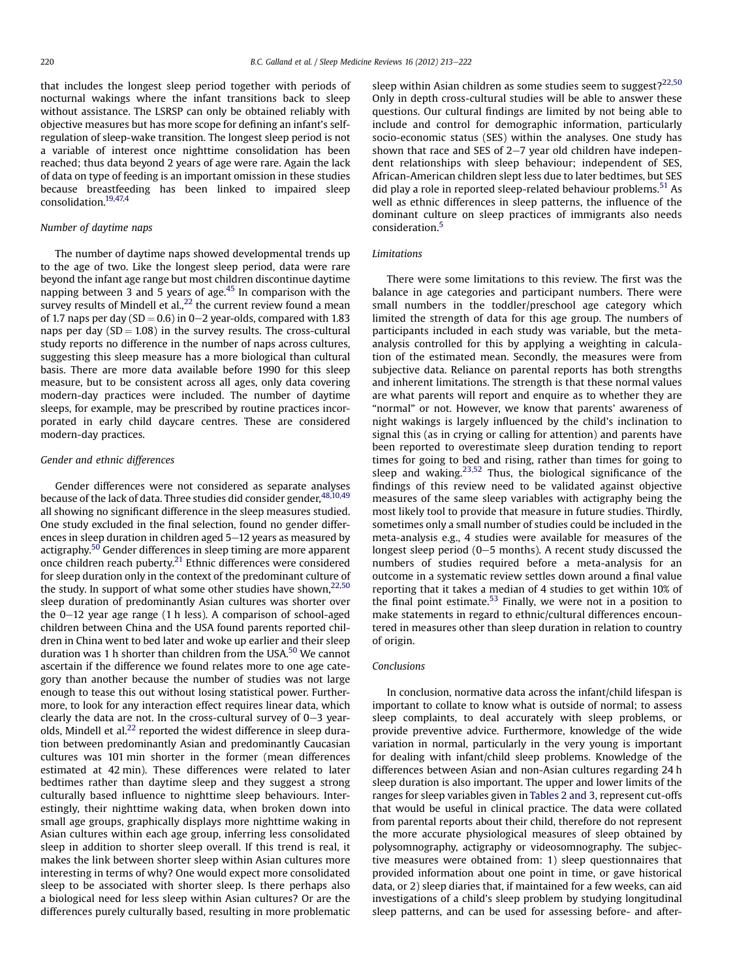that includes the longest sleep period together with periods of nocturnal wakings where the infant transitions back to sleep without assistance. The LSRSP can only be obtained reliably with objective measures but has more scope for defining an infant's selfregulation of sleep-wake transition. The longest sleep period is not a variable of interest once nighttime consolidation has been reached; thus data beyond 2 years of age were rare. Again the lack of data on type of feeding is an important omission in these studies because breastfeeding has been linked to impaired sleep consolidation.[19,47,4](#page-8-0)

## Number of daytime naps

The number of daytime naps showed developmental trends up to the age of two. Like the longest sleep period, data were rare beyond the infant age range but most children discontinue daytime napping between  $\frac{3}{3}$  and  $\frac{5}{3}$  years of age.<sup>45</sup> In comparison with the survey results of Mindell et al.,  $^{22}$  the current review found a mean of 1.7 naps per day (SD = 0.6) in 0–2 year-olds, compared with 1.83 naps per day  $(SD = 1.08)$  in the survey results. The cross-cultural study reports no difference in the number of naps across cultures, suggesting this sleep measure has a more biological than cultural basis. There are more data available before 1990 for this sleep measure, but to be consistent across all ages, only data covering modern-day practices were included. The number of daytime sleeps, for example, may be prescribed by routine practices incorporated in early child daycare centres. These are considered modern-day practices.

#### Gender and ethnic differences

Gender differences were not considered as separate analyses because of the lack of data. Three studies did consider gender, [48,10,49](#page-9-0) all showing no significant difference in the sleep measures studied. One study excluded in the final selection, found no gender differences in sleep duration in children aged  $5-12$  years as measured by actigraphy.[50](#page-9-0) Gender differences in sleep timing are more apparent once children reach puberty[.21](#page-8-0) Ethnic differences were considered for sleep duration only in the context of the predominant culture of the study. In support of what some other studies have shown,<sup>[22,50](#page-8-0)</sup> sleep duration of predominantly Asian cultures was shorter over the  $0-12$  year age range (1 h less). A comparison of school-aged children between China and the USA found parents reported children in China went to bed later and woke up earlier and their sleep duration was 1 h shorter than children from the USA. $50$  We cannot ascertain if the difference we found relates more to one age category than another because the number of studies was not large enough to tease this out without losing statistical power. Furthermore, to look for any interaction effect requires linear data, which clearly the data are not. In the cross-cultural survey of  $0-3$  year-olds, Mindell et al.<sup>[22](#page-8-0)</sup> reported the widest difference in sleep duration between predominantly Asian and predominantly Caucasian cultures was 101 min shorter in the former (mean differences estimated at 42 min). These differences were related to later bedtimes rather than daytime sleep and they suggest a strong culturally based influence to nighttime sleep behaviours. Interestingly, their nighttime waking data, when broken down into small age groups, graphically displays more nighttime waking in Asian cultures within each age group, inferring less consolidated sleep in addition to shorter sleep overall. If this trend is real, it makes the link between shorter sleep within Asian cultures more interesting in terms of why? One would expect more consolidated sleep to be associated with shorter sleep. Is there perhaps also a biological need for less sleep within Asian cultures? Or are the differences purely culturally based, resulting in more problematic sleep within Asian children as some studies seem to suggest? $22,50$ Only in depth cross-cultural studies will be able to answer these questions. Our cultural findings are limited by not being able to include and control for demographic information, particularly socio-economic status (SES) within the analyses. One study has shown that race and SES of  $2-7$  year old children have independent relationships with sleep behaviour; independent of SES, African-American children slept less due to later bedtimes, but SES did play a role in reported sleep-related behaviour problems.<sup>[51](#page-9-0)</sup> As well as ethnic differences in sleep patterns, the influence of the dominant culture on sleep practices of immigrants also needs consideration.[5](#page-8-0)

## Limitations

There were some limitations to this review. The first was the balance in age categories and participant numbers. There were small numbers in the toddler/preschool age category which limited the strength of data for this age group. The numbers of participants included in each study was variable, but the metaanalysis controlled for this by applying a weighting in calculation of the estimated mean. Secondly, the measures were from subjective data. Reliance on parental reports has both strengths and inherent limitations. The strength is that these normal values are what parents will report and enquire as to whether they are "normal" or not. However, we know that parents' awareness of night wakings is largely influenced by the child's inclination to signal this (as in crying or calling for attention) and parents have been reported to overestimate sleep duration tending to report times for going to bed and rising, rather than times for going to sleep and waking. $23,52$  Thus, the biological significance of the findings of this review need to be validated against objective measures of the same sleep variables with actigraphy being the most likely tool to provide that measure in future studies. Thirdly, sometimes only a small number of studies could be included in the meta-analysis e.g., 4 studies were available for measures of the longest sleep period  $(0-5$  months). A recent study discussed the numbers of studies required before a meta-analysis for an outcome in a systematic review settles down around a final value reporting that it takes a median of 4 studies to get within 10% of the final point estimate.<sup>[53](#page-9-0)</sup> Finally, we were not in a position to make statements in regard to ethnic/cultural differences encountered in measures other than sleep duration in relation to country of origin.

## Conclusions

In conclusion, normative data across the infant/child lifespan is important to collate to know what is outside of normal; to assess sleep complaints, to deal accurately with sleep problems, or provide preventive advice. Furthermore, knowledge of the wide variation in normal, particularly in the very young is important for dealing with infant/child sleep problems. Knowledge of the differences between Asian and non-Asian cultures regarding 24 h sleep duration is also important. The upper and lower limits of the ranges for sleep variables given in [Tables 2 and 3](#page-5-0), represent cut-offs that would be useful in clinical practice. The data were collated from parental reports about their child, therefore do not represent the more accurate physiological measures of sleep obtained by polysomnography, actigraphy or videosomnography. The subjective measures were obtained from: 1) sleep questionnaires that provided information about one point in time, or gave historical data, or 2) sleep diaries that, if maintained for a few weeks, can aid investigations of a child's sleep problem by studying longitudinal sleep patterns, and can be used for assessing before- and after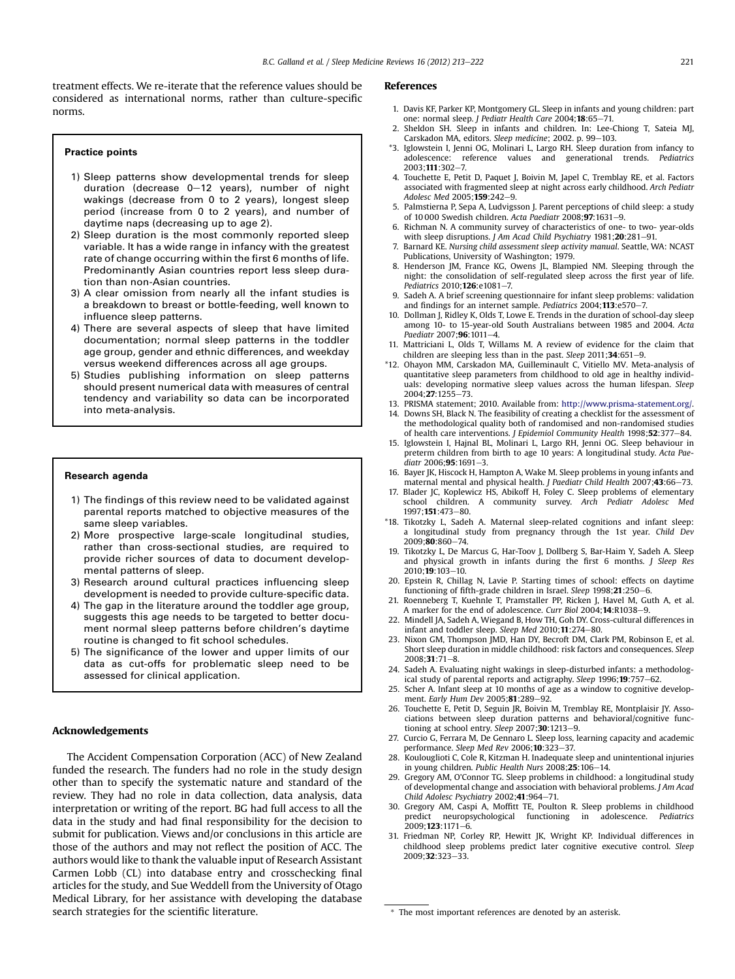<span id="page-8-0"></span>treatment effects. We re-iterate that the reference values should be considered as international norms, rather than culture-specific norms.

#### Practice points

- 1) Sleep patterns show developmental trends for sleep duration (decrease  $0-12$  years), number of night wakings (decrease from 0 to 2 years), longest sleep period (increase from 0 to 2 years), and number of daytime naps (decreasing up to age 2).
- 2) Sleep duration is the most commonly reported sleep variable. It has a wide range in infancy with the greatest rate of change occurring within the first 6 months of life. Predominantly Asian countries report less sleep duration than non-Asian countries.
- 3) A clear omission from nearly all the infant studies is a breakdown to breast or bottle-feeding, well known to influence sleep patterns.
- 4) There are several aspects of sleep that have limited documentation; normal sleep patterns in the toddler age group, gender and ethnic differences, and weekday versus weekend differences across all age groups.
- 5) Studies publishing information on sleep patterns should present numerical data with measures of central tendency and variability so data can be incorporated into meta-analysis.

#### Research agenda

- 1) The findings of this review need to be validated against parental reports matched to objective measures of the same sleep variables.
- 2) More prospective large-scale longitudinal studies, rather than cross-sectional studies, are required to provide richer sources of data to document developmental patterns of sleep.
- 3) Research around cultural practices influencing sleep development is needed to provide culture-specific data.
- 4) The gap in the literature around the toddler age group, suggests this age needs to be targeted to better document normal sleep patterns before children's daytime routine is changed to fit school schedules.
- 5) The significance of the lower and upper limits of our data as cut-offs for problematic sleep need to be assessed for clinical application.

#### Acknowledgements

The Accident Compensation Corporation (ACC) of New Zealand funded the research. The funders had no role in the study design other than to specify the systematic nature and standard of the review. They had no role in data collection, data analysis, data interpretation or writing of the report. BG had full access to all the data in the study and had final responsibility for the decision to submit for publication. Views and/or conclusions in this article are those of the authors and may not reflect the position of ACC. The authors would like to thank the valuable input of Research Assistant Carmen Lobb (CL) into database entry and crosschecking final articles for the study, and Sue Weddell from the University of Otago Medical Library, for her assistance with developing the database search strategies for the scientific literature.

#### References

- 1. Davis KF, Parker KP, Montgomery GL. Sleep in infants and young children: part one: normal sleep. J Pediatr Health Care 2004;18:65-71.
- 2. Sheldon SH. Sleep in infants and children. In: Lee-Chiong T, Sateia MJ, Carskadon MA, editors. Sleep medicine; 2002. p. 99-103.
- \*3. Iglowstein I, Jenni OG, Molinari L, Largo RH. Sleep duration from infancy to adolescence: reference values and generational trends. Pediatrics  $2003:111:302 - 7$
- 4. Touchette E, Petit D, Paquet J, Boivin M, Japel C, Tremblay RE, et al. Factors associated with fragmented sleep at night across early childhood. Arch Pediatr Adolesc Med 2005:159:242-9.
- 5. Palmstierna P, Sepa A, Ludvigsson J. Parent perceptions of child sleep: a study of 10 000 Swedish children. Acta Paediatr 2008;97:1631-9.
- 6. Richman N. A community survey of characteristics of one- to two- year-olds with sleep disruptions. J Am Acad Child Psychiatry 1981;20:281-91
- 7. Barnard KE. Nursing child assessment sleep activity manual. Seattle, WA: NCAST Publications, University of Washington; 1979.
- 8. Henderson JM, France KG, Owens JL, Blampied NM. Sleeping through the night: the consolidation of self-regulated sleep across the first year of life. Pediatrics 2010:126:e1081-7.
- 9. Sadeh A. A brief screening questionnaire for infant sleep problems: validation and findings for an internet sample. Pediatrics 2004;113:e570-7
- 10. Dollman J, Ridley K, Olds T, Lowe E. Trends in the duration of school-day sleep among 10- to 15-year-old South Australians between 1985 and 2004. Acta Paediatr 2007;96:1011-4
- 11. Mattriciani L, Olds T, Willams M. A review of evidence for the claim that children are sleeping less than in the past. Sleep  $2011;34:651-9$ .
- \*12. Ohayon MM, Carskadon MA, Guilleminault C, Vitiello MV. Meta-analysis of quantitative sleep parameters from childhood to old age in healthy individuals: developing normative sleep values across the human lifespan. Sleep  $2004:27:1255 - 73$
- 13. PRISMA statement; 2010. Available from: [http://www.prisma-statement.org/.](http://www.prisma-statement.org/)
- 14. Downs SH, Black N. The feasibility of creating a checklist for the assessment of the methodological quality both of randomised and non-randomised studies of health care interventions. J Epidemiol Community Health 1998;52:377-84.
- 15. Iglowstein I, Hajnal BL, Molinari L, Largo RH, Jenni OG. Sleep behaviour in preterm children from birth to age 10 years: A longitudinal study. Acta Paediatr  $2006:95:1691-3$ .
- 16. Bayer JK, Hiscock H, Hampton A, Wake M. Sleep problems in young infants and maternal mental and physical health. J Paediatr Child Health  $2007;43:66-73$ .
- 17. Blader JC, Koplewicz HS, Abikoff H, Foley C. Sleep problems of elementary school children. A community survey. Arch Pediatr Adolesc Med 1997;151:473-80.
- \*18. Tikotzky L, Sadeh A. Maternal sleep-related cognitions and infant sleep: a longitudinal study from pregnancy through the 1st year. Child Dev 2009:80:860-74.
- 19. Tikotzky L, De Marcus G, Har-Toov J, Dollberg S, Bar-Haim Y, Sadeh A. Sleep and physical growth in infants during the first 6 months. J Sleep Res 2010:19:103-10.
- 20. Epstein R, Chillag N, Lavie P. Starting times of school: effects on daytime functioning of fifth-grade children in Israel. Sleep  $1998;21:250-6$ .
- 21. Roenneberg T, Kuehnle T, Pramstaller PP, Ricken J, Havel M, Guth A, et al. A marker for the end of adolescence. Curr Biol 2004;14:R1038-9.
- 22. Mindell JA, Sadeh A, Wiegand B, How TH, Goh DY. Cross-cultural differences in infant and toddler sleep. Sleep Med  $2010; 11:274-80$ .
- 23. Nixon GM, Thompson JMD, Han DY, Becroft DM, Clark PM, Robinson E, et al. Short sleep duration in middle childhood: risk factors and consequences. Sleep  $2008;31:71-8.$
- 24. Sadeh A. Evaluating night wakings in sleep-disturbed infants: a methodological study of parental reports and actigraphy. Sleep 1996;19:757-62.
- 25. Scher A. Infant sleep at 10 months of age as a window to cognitive development. Early Hum Dev 2005;81:289-92.
- 26. Touchette E, Petit D, Seguin JR, Boivin M, Tremblay RE, Montplaisir JY. Associations between sleep duration patterns and behavioral/cognitive functioning at school entry. Sleep  $2007; 30:1213-9$ .
- 27. Curcio G, Ferrara M, De Gennaro L. Sleep loss, learning capacity and academic performance. Sleep Med Rev 2006;  $10:323-37$ .
- 28. Koulouglioti C, Cole R, Kitzman H. Inadequate sleep and unintentional injuries in young children. Public Health Nurs  $2008;25:106-14$ .
- 29. Gregory AM, O'Connor TG. Sleep problems in childhood: a longitudinal study of developmental change and association with behavioral problems. J Am Acad Child Adolesc Psychiatry 2002;41:964-71.
- 30. Gregory AM, Caspi A, Moffitt TE, Poulton R. Sleep problems in childhood predict neuropsychological functioning in adolescence. Pediatrics  $2009;123:1171-6$ .
- 31. Friedman NP, Corley RP, Hewitt JK, Wright KP. Individual differences in childhood sleep problems predict later cognitive executive control. Sleep 2009;32:323-33.

<sup>\*</sup> The most important references are denoted by an asterisk.